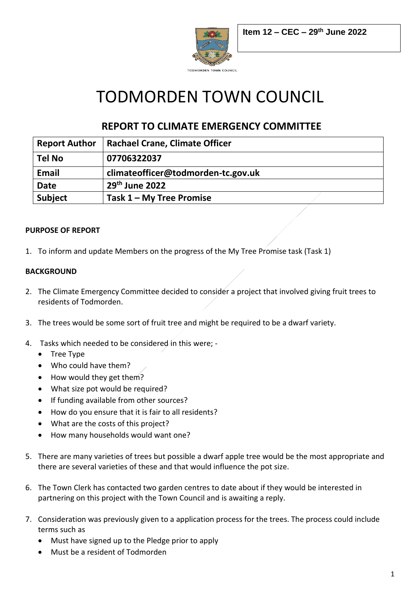

# TODMORDEN TOWN COUNCIL

# **REPORT TO CLIMATE EMERGENCY COMMITTEE**

| <b>Report Author</b> | <b>Rachael Crane, Climate Officer</b> |
|----------------------|---------------------------------------|
| <b>Tel No</b>        | 07706322037                           |
| <b>Email</b>         | climateofficer@todmorden-tc.gov.uk    |
| <b>Date</b>          | $29th$ June 2022                      |
| <b>Subject</b>       | Task $1 - My$ Tree Promise            |

# **PURPOSE OF REPORT**

1. To inform and update Members on the progress of the My Tree Promise task (Task 1)

# **BACKGROUND**

- 2. The Climate Emergency Committee decided to consider a project that involved giving fruit trees to residents of Todmorden.
- 3. The trees would be some sort of fruit tree and might be required to be a dwarf variety.
- 4. Tasks which needed to be considered in this were;
	- Tree Type
	- Who could have them?
	- How would they get them?
	- What size pot would be required?
	- If funding available from other sources?
	- How do you ensure that it is fair to all residents?
	- What are the costs of this project?
	- How many households would want one?
- 5. There are many varieties of trees but possible a dwarf apple tree would be the most appropriate and there are several varieties of these and that would influence the pot size.
- 6. The Town Clerk has contacted two garden centres to date about if they would be interested in partnering on this project with the Town Council and is awaiting a reply.
- 7. Consideration was previously given to a application process for the trees. The process could include terms such as
	- Must have signed up to the Pledge prior to apply
	- Must be a resident of Todmorden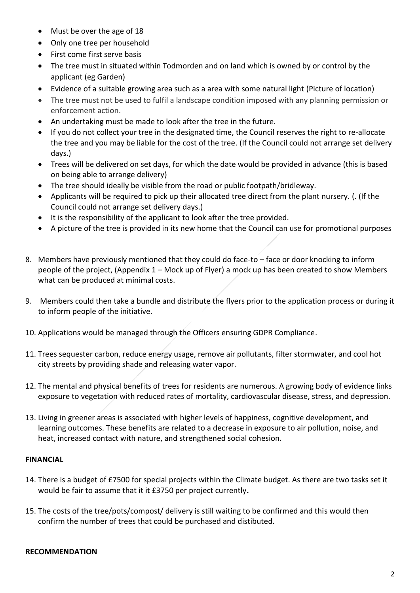- Must be over the age of 18
- Only one tree per household
- First come first serve basis
- The tree must in situated within Todmorden and on land which is owned by or control by the applicant (eg Garden)
- Evidence of a suitable growing area such as a area with some natural light (Picture of location)
- The tree must not be used to fulfil a landscape condition imposed with any planning permission or enforcement action.
- An undertaking must be made to look after the tree in the future.
- If you do not collect your tree in the designated time, the Council reserves the right to re-allocate the tree and you may be liable for the cost of the tree. (If the Council could not arrange set delivery days.)
- Trees will be delivered on set days, for which the date would be provided in advance (this is based on being able to arrange delivery)
- The tree should ideally be visible from the road or public footpath/bridleway.
- Applicants will be required to pick up their allocated tree direct from the plant nursery. (. (If the Council could not arrange set delivery days.)
- It is the responsibility of the applicant to look after the tree provided.
- A picture of the tree is provided in its new home that the Council can use for promotional purposes
- 8. Members have previously mentioned that they could do face-to face or door knocking to inform people of the project, (Appendix 1 – Mock up of Flyer) a mock up has been created to show Members what can be produced at minimal costs.
- 9. Members could then take a bundle and distribute the flyers prior to the application process or during it to inform people of the initiative.
- 10. Applications would be managed through the Officers ensuring GDPR Compliance.
- 11. Trees sequester carbon, reduce energy usage, remove air pollutants, filter stormwater, and cool hot city streets by providing shade and releasing water vapor.
- 12. The mental and physical benefits of trees for residents are numerous. A growing body of evidence links exposure to vegetation with reduced rates of mortality, cardiovascular disease, stress, and depression.
- 13. Living in greener areas is associated with higher levels of happiness, cognitive development, and learning outcomes. These benefits are related to a decrease in exposure to air pollution, noise, and heat, increased contact with nature, and strengthened social cohesion.

## **FINANCIAL**

- 14. There is a budget of £7500 for special projects within the Climate budget. As there are two tasks set it would be fair to assume that it it £3750 per project currently**.**
- 15. The costs of the tree/pots/compost/ delivery is still waiting to be confirmed and this would then confirm the number of trees that could be purchased and distibuted.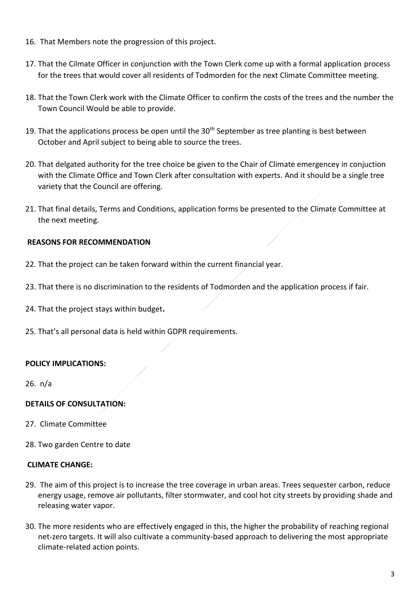- 16. That Members note the progression of this project.
- 17. That the Cilmate Officer in conjunction with the Town Clerk come up with a formal application process for the trees that would cover all residents of Todmorden for the next Climate Committee meeting.
- 18. That the Town Clerk work with the Climate Officer to confirm the costs of the trees and the number the Town Council Would be able to provide.
- 19. That the applications process be open until the  $30<sup>th</sup>$  September as tree planting is best between October and April subject to being able to source the trees.
- 20. That delgated authority for the tree choice be given to the Chair of Climate emergencey in conjuction with the Climate Office and Town Clerk after consultation with experts. And it should be a single tree variety that the Council are offering.
- 21. That final details, Terms and Conditions, application forms be presented to the Climate Committee at the next meeting.

# **REASONS FOR RECOMMENDATION**

- 22. That the project can be taken forward within the current financial year.
- 23. That there is no discrimination to the residents of Todmorden and the application process if fair.
- 24. That the project stays within budget**.**
- 25. That's all personal data is held within GDPR requirements.

#### **POLICY IMPLICATIONS:**

26. n/a

#### **DETAILS OF CONSULTATION:**

- 27. Climate Committee
- 28. Two garden Centre to date

#### **CLIMATE CHANGE:**

- 29. The aim of this project is to increase the tree coverage in urban areas. Trees sequester carbon, reduce energy usage, remove air pollutants, filter stormwater, and cool hot city streets by providing shade and releasing water vapor.
- 30. The more residents who are effectively engaged in this, the higher the probability of reaching regional net-zero targets. It will also cultivate a community-based approach to delivering the most appropriate climate-related action points.